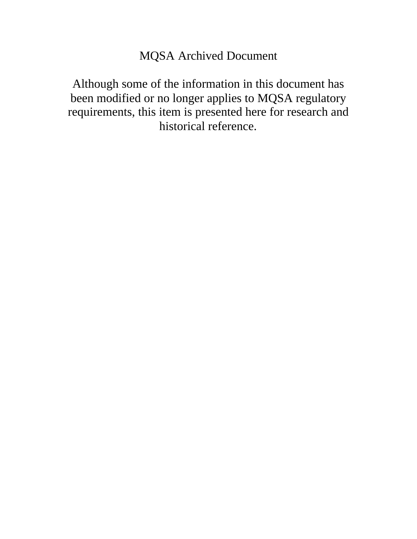#### MQSA Archived Document

Although some of the information in this document has been modified or no longer applies to MQSA regulatory requirements, this item is presented here for research and historical reference.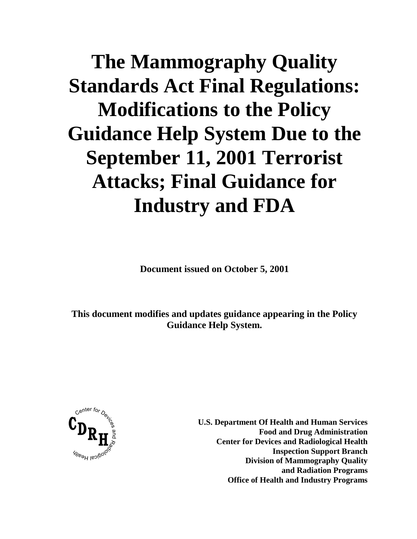# **The Mammography Quality Standards Act Final Regulations: Modifications to the Policy Guidance Help System Due to the September 11, 2001 Terrorist Attacks; Final Guidance for Industry and FDA**

**Document issued on October 5, 2001**

**This document modifies and updates guidance appearing in the Policy Guidance Help System.** 



**U.S. Department Of Health and Human Services Food and Drug Administration Center for Devices and Radiological Health Inspection Support Branch Division of Mammography Quality and Radiation Programs Office of Health and Industry Programs**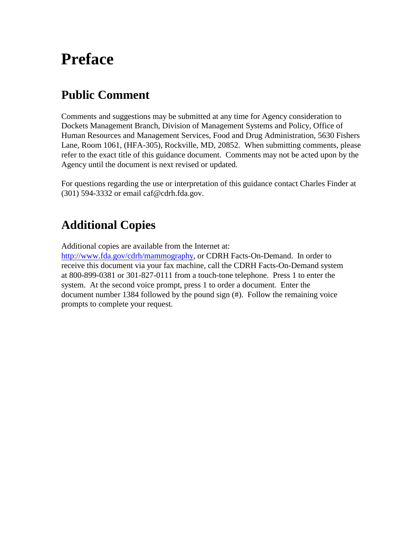## **Preface**

#### **Public Comment**

Comments and suggestions may be submitted at any time for Agency consideration to Dockets Management Branch, Division of Management Systems and Policy, Office of Human Resources and Management Services, Food and Drug Administration, 5630 Fishers Lane, Room 1061, (HFA-305), Rockville, MD, 20852. When submitting comments, please refer to the exact title of this guidance document. Comments may not be acted upon by the Agency until the document is next revised or updated.

For questions regarding the use or interpretation of this guidance contact Charles Finder at (301) 594-3332 or email caf@cdrh.fda.gov.

#### **Additional Copies**

Additional copies are available from the Internet at:

[http://www.fda.gov/cdrh/mammography, or](http://www.fda.gov/cdrh/mammography/) CDRH Facts-On-Demand. In order to receive this document via your fax machine, call the CDRH Facts-On-Demand system at 800-899-0381 or 301-827-0111 from a touch-tone telephone. Press 1 to enter the system. At the second voice prompt, press 1 to order a document. Enter the document number 1384 followed by the pound sign (#). Follow the remaining voice prompts to complete your request.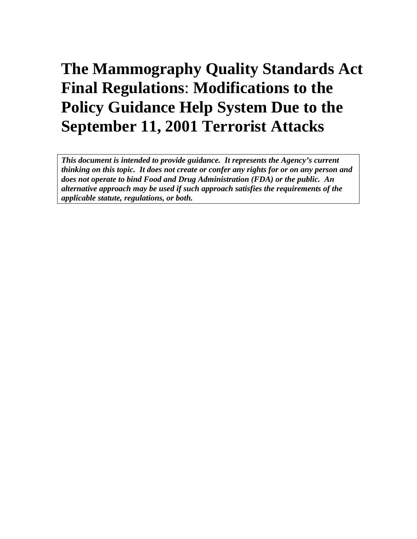## **The Mammography Quality Standards Act Final Regulations**: **Modifications to the Policy Guidance Help System Due to the September 11, 2001 Terrorist Attacks**

*This document is intended to provide guidance. It represents the Agency's current thinking on this topic. It does not create or confer any rights for or on any person and does not operate to bind Food and Drug Administration (FDA) or the public. An alternative approach may be used if such approach satisfies the requirements of the applicable statute, regulations, or both.*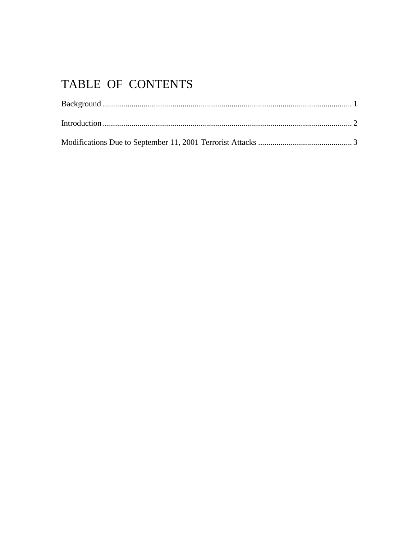### TABLE OF CONTENTS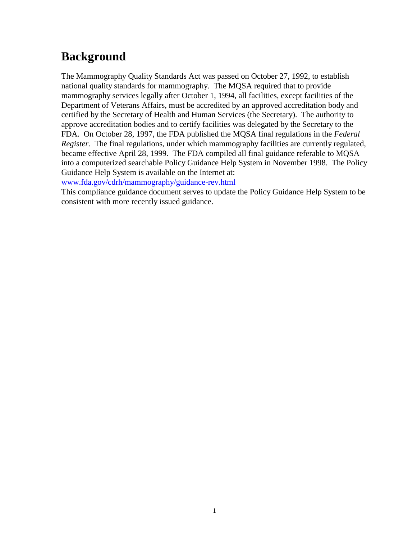#### **Background**

The Mammography Quality Standards Act was passed on October 27, 1992, to establish national quality standards for mammography. The MQSA required that to provide mammography services legally after October 1, 1994, all facilities, except facilities of the Department of Veterans Affairs, must be accredited by an approved accreditation body and certified by the Secretary of Health and Human Services (the Secretary). The authority to approve accreditation bodies and to certify facilities was delegated by the Secretary to the FDA. On October 28, 1997, the FDA published the MQSA final regulations in the *Federal Register.* The final regulations, under which mammography facilities are currently regulated, became effective April 28, 1999*.* The FDA compiled all final guidance referable to MQSA into a computerized searchable Policy Guidance Help System in November 1998. The Policy Guidance Help System is available on the Internet at:

[www.fda.gov/cdrh/mammography/guidance-rev.html](http://www.fda.gov/cdrh/mammography/guidance-rev.html)

This compliance guidance document serves to update the Policy Guidance Help System to be consistent with more recently issued guidance.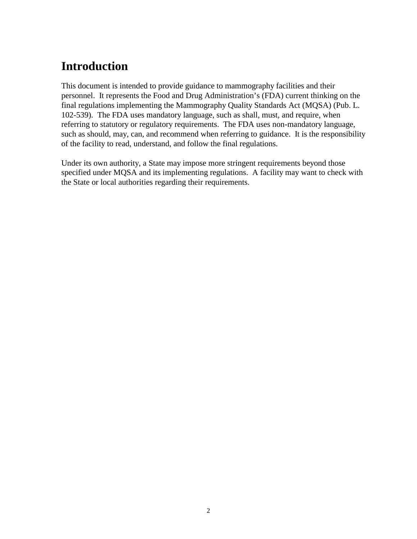#### **Introduction**

This document is intended to provide guidance to mammography facilities and their personnel. It represents the Food and Drug Administration's (FDA) current thinking on the final regulations implementing the Mammography Quality Standards Act (MQSA) (Pub. L. 102-539). The FDA uses mandatory language, such as shall, must, and require, when referring to statutory or regulatory requirements. The FDA uses non-mandatory language, such as should, may, can, and recommend when referring to guidance. It is the responsibility of the facility to read, understand, and follow the final regulations.

Under its own authority, a State may impose more stringent requirements beyond those specified under MQSA and its implementing regulations. A facility may want to check with the State or local authorities regarding their requirements.